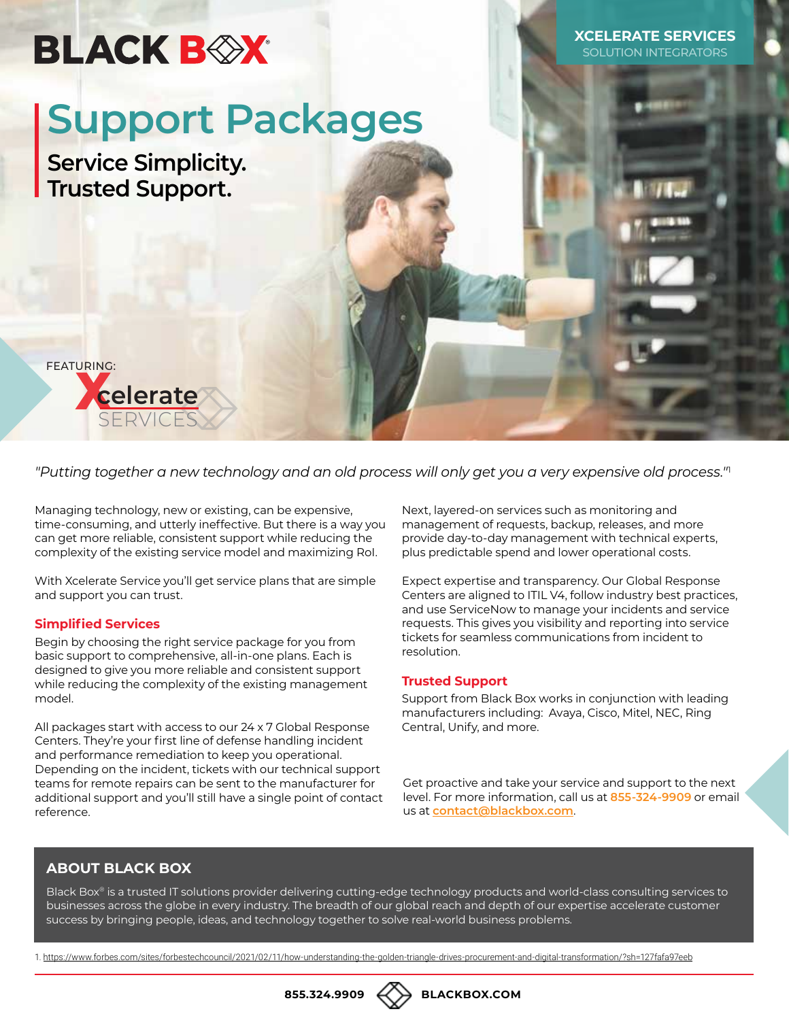## **BLACK BOX**

**XCELERATE SERVICES DLUTION INTEGRATO** 

# **Support Packages**

**Service Simplicity. Trusted Support.**



*"Putting together a new technology and an old process will only get you a very expensive old process."*<sup>1</sup>

Managing technology, new or existing, can be expensive, time-consuming, and utterly ineffective. But there is a way you can get more reliable, consistent support while reducing the complexity of the existing service model and maximizing RoI.

With Xcelerate Service you'll get service plans that are simple and support you can trust.

#### **Simplified Services**

Begin by choosing the right service package for you from basic support to comprehensive, all-in-one plans. Each is designed to give you more reliable and consistent support while reducing the complexity of the existing management model.

All packages start with access to our 24 x 7 Global Response Centers. They're your first line of defense handling incident and performance remediation to keep you operational. Depending on the incident, tickets with our technical support teams for remote repairs can be sent to the manufacturer for additional support and you'll still have a single point of contact reference.

Next, layered-on services such as monitoring and management of requests, backup, releases, and more provide day-to-day management with technical experts, plus predictable spend and lower operational costs.

Expect expertise and transparency. Our Global Response Centers are aligned to ITIL V4, follow industry best practices, and use ServiceNow to manage your incidents and service requests. This gives you visibility and reporting into service tickets for seamless communications from incident to resolution.

#### **Trusted Support**

Support from Black Box works in conjunction with leading manufacturers including: Avaya, Cisco, Mitel, NEC, Ring Central, Unify, and more.

Get proactive and take your service and support to the next level. For more information, call us at **855-324-9909** or email us at **[contact@blackbox.com](mailto:?subject=contact%40blackbox.com)**.

#### **ABOUT BLACK BOX**

Black Box® is a trusted IT solutions provider delivering cutting-edge technology products and world-class consulting services to businesses across the globe in every industry. The breadth of our global reach and depth of our expertise accelerate customer success by bringing people, ideas, and technology together to solve real-world business problems.

1. [https://www.forbes.com/sites/forbestechcouncil/2021/02/11/how-understanding-the-golden-triangle-drives-procurement-and-digital-transformation/?sh=127fafa97eeb](https://www.forbes.com/sites/forbestechcouncil/2021/02/11/how-understanding-the-golden-triangle-driv)